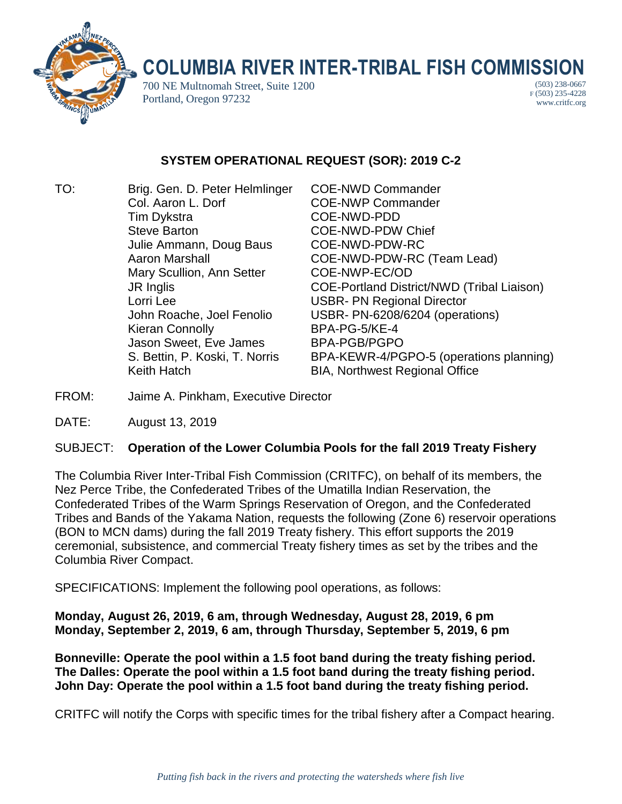

## **COLUMBIA RIVER INTER-TRIBAL FISH COMMISSION**

700 NE Multnomah Street, Suite 1200 Portland, Oregon 97232

(503) 238-0667 F (503) 235-4228 www.critfc.org

## **SYSTEM OPERATIONAL REQUEST (SOR): 2019 C-2**

TO: Brig. Gen. D. Peter Helmlinger COE-NWD Commander Col. Aaron L. Dorf COE-NWP Commander Tim Dykstra COE-NWD-PDD Steve Barton **COE-NWD-PDW Chief** Julie Ammann, Doug Baus COE-NWD-PDW-RC Mary Scullion, Ann Setter COE-NWP-EC/OD Lorri Lee **USBR- PN Regional Director** Kieran Connolly BPA-PG-5/KE-4 Jason Sweet, Eve James BPA-PGB/PGPO Keith Hatch BIA, Northwest Regional Office

Aaron Marshall COE-NWD-PDW-RC (Team Lead) JR Inglis COE-Portland District/NWD (Tribal Liaison) John Roache, Joel Fenolio USBR- PN-6208/6204 (operations) S. Bettin, P. Koski, T. Norris BPA-KEWR-4/PGPO-5 (operations planning)

- FROM: Jaime A. Pinkham, Executive Director
- DATE: August 13, 2019

## SUBJECT: **Operation of the Lower Columbia Pools for the fall 2019 Treaty Fishery**

The Columbia River Inter-Tribal Fish Commission (CRITFC), on behalf of its members, the Nez Perce Tribe, the Confederated Tribes of the Umatilla Indian Reservation, the Confederated Tribes of the Warm Springs Reservation of Oregon, and the Confederated Tribes and Bands of the Yakama Nation, requests the following (Zone 6) reservoir operations (BON to MCN dams) during the fall 2019 Treaty fishery. This effort supports the 2019 ceremonial, subsistence, and commercial Treaty fishery times as set by the tribes and the Columbia River Compact.

SPECIFICATIONS: Implement the following pool operations, as follows:

**Monday, August 26, 2019, 6 am, through Wednesday, August 28, 2019, 6 pm Monday, September 2, 2019, 6 am, through Thursday, September 5, 2019, 6 pm**

**Bonneville: Operate the pool within a 1.5 foot band during the treaty fishing period. The Dalles: Operate the pool within a 1.5 foot band during the treaty fishing period. John Day: Operate the pool within a 1.5 foot band during the treaty fishing period.**

CRITFC will notify the Corps with specific times for the tribal fishery after a Compact hearing.